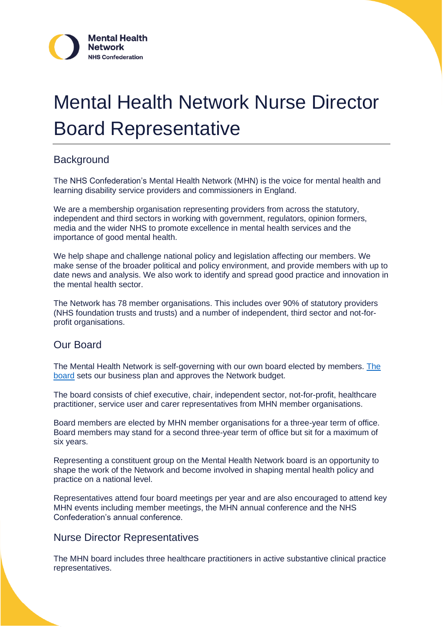

# Mental Health Network Nurse Director Board Representative

## **Background**

The NHS Confederation's Mental Health Network (MHN) is the voice for mental health and learning disability service providers and commissioners in England.

We are a membership organisation representing providers from across the statutory, independent and third sectors in working with government, regulators, opinion formers, media and the wider NHS to promote excellence in mental health services and the importance of good mental health.

We help shape and challenge national policy and legislation affecting our members. We make sense of the broader political and policy environment, and provide members with up to date news and analysis. We also work to identify and spread good practice and innovation in the mental health sector.

The Network has 78 member organisations. This includes over 90% of statutory providers (NHS foundation trusts and trusts) and a number of independent, third sector and not-forprofit organisations.

### Our Board

The Mental Health Network is self-governing with our own board elected by members. [The](https://www.nhsconfed.org/networks-countries/mental-health-network/who-we-are)  [board](https://www.nhsconfed.org/networks-countries/mental-health-network/who-we-are) sets our business plan and approves the Network budget.

The board consists of chief executive, chair, independent sector, not-for-profit, healthcare practitioner, service user and carer representatives from MHN member organisations.

Board members are elected by MHN member organisations for a three-year term of office. Board members may stand for a second three-year term of office but sit for a maximum of six years.

Representing a constituent group on the Mental Health Network board is an opportunity to shape the work of the Network and become involved in shaping mental health policy and practice on a national level.

Representatives attend four board meetings per year and are also encouraged to attend key MHN events including member meetings, the MHN annual conference and the NHS Confederation's annual conference.

#### Nurse Director Representatives

The MHN board includes three healthcare practitioners in active substantive clinical practice representatives.